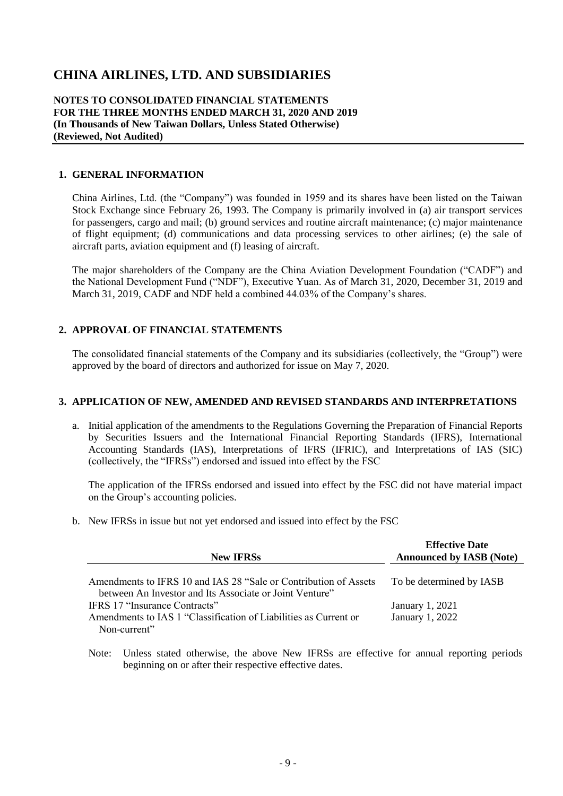## **CHINA AIRLINES, LTD. AND SUBSIDIARIES**

## **FOR THE THREE MONTHS ENDED MARCH 31, 2020 AND 2019 NOTES TO CONSOLIDATED FINANCIAL STATEMENTS (In Thousands of New Taiwan Dollars, Unless Stated Otherwise) (Reviewed, Not Audited)**

## **1. GENERAL INFORMATION**

 China Airlines, Ltd. (the "Company") was founded in 1959 and its shares have been listed on the Taiwan Stock Exchange since February 26, 1993. The Company is primarily involved in (a) air transport services for passengers, cargo and mail; (b) ground services and routine aircraft maintenance; (c) major maintenance of flight equipment; (d) communications and data processing services to other airlines; (e) the sale of aircraft parts, aviation equipment and (f) leasing of aircraft.

 The major shareholders of the Company are the China Aviation Development Foundation ("CADF") and the National Development Fund ("NDF"), Executive Yuan. As of March 31, 2020, December 31, 2019 and March 31, 2019, CADF and NDF held a combined 44.03% of the Company's shares.

## **2. APPROVAL OF FINANCIAL STATEMENTS**

 The consolidated financial statements of the Company and its subsidiaries (collectively, the "Group") were approved by the board of directors and authorized for issue on May 7, 2020.

### **3. APPLICATION OF NEW, AMENDED AND REVISED STANDARDS AND INTERPRETATIONS**

 by Securities Issuers and the International Financial Reporting Standards (IFRS), International Accounting Standards (IAS), Interpretations of IFRS (IFRIC), and Interpretations of IAS (SIC) a. Initial application of the amendments to the Regulations Governing the Preparation of Financial Reports (collectively, the "IFRSs") endorsed and issued into effect by the FSC

 The application of the IFRSs endorsed and issued into effect by the FSC did not have material impact on the Group's accounting policies.

b. New IFRSs in issue but not yet endorsed and issued into effect by the FSC

| <b>New IFRSs</b>                                                                                                            | <b>Effective Date</b><br><b>Announced by IASB (Note)</b> |
|-----------------------------------------------------------------------------------------------------------------------------|----------------------------------------------------------|
| Amendments to IFRS 10 and IAS 28 "Sale or Contribution of Assets<br>between An Investor and Its Associate or Joint Venture" | To be determined by IASB                                 |
| IFRS 17 "Insurance Contracts"                                                                                               | January 1, 2021                                          |
| Amendments to IAS 1 "Classification of Liabilities as Current or<br>Non-current"                                            | January 1, 2022                                          |

 Note: Unless stated otherwise, the above New IFRSs are effective for annual reporting periods beginning on or after their respective effective dates.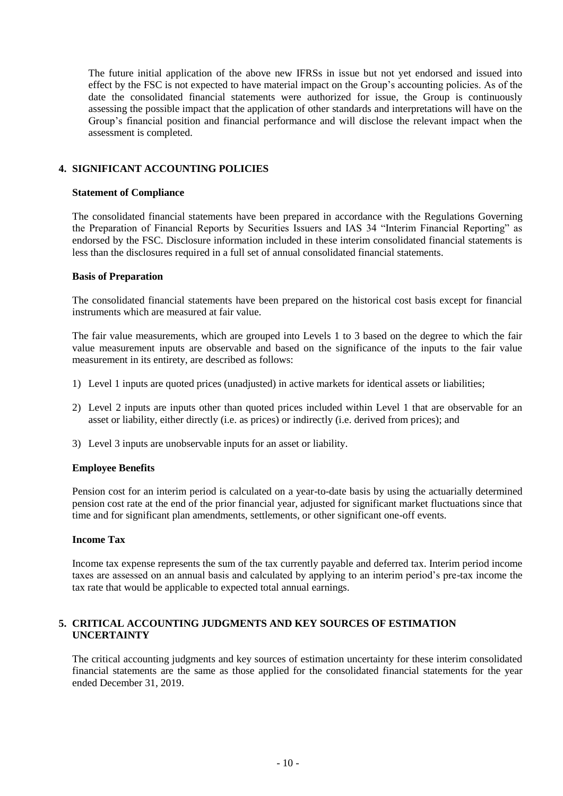The future initial application of the above new IFRSs in issue but not yet endorsed and issued into effect by the FSC is not expected to have material impact on the Group's accounting policies. As of the date the consolidated financial statements were authorized for issue, the Group is continuously assessing the possible impact that the application of other standards and interpretations will have on the Group's financial position and financial performance and will disclose the relevant impact when the assessment is completed.

## **4. SIGNIFICANT ACCOUNTING POLICIES**

### **Statement of Compliance**

 the Preparation of Financial Reports by Securities Issuers and IAS 34 "Interim Financial Reporting" as The consolidated financial statements have been prepared in accordance with the Regulations Governing endorsed by the FSC. Disclosure information included in these interim consolidated financial statements is less than the disclosures required in a full set of annual consolidated financial statements.

### **Basis of Preparation**

 The consolidated financial statements have been prepared on the historical cost basis except for financial instruments which are measured at fair value.

 The fair value measurements, which are grouped into Levels 1 to 3 based on the degree to which the fair value measurement inputs are observable and based on the significance of the inputs to the fair value measurement in its entirety, are described as follows:

- 1) Level 1 inputs are quoted prices (unadjusted) in active markets for identical assets or liabilities;
- 2) Level 2 inputs are inputs other than quoted prices included within Level 1 that are observable for an asset or liability, either directly (i.e. as prices) or indirectly (i.e. derived from prices); and
- 3) Level 3 inputs are unobservable inputs for an asset or liability.

## **Employee Benefits**

 Pension cost for an interim period is calculated on a year-to-date basis by using the actuarially determined pension cost rate at the end of the prior financial year, adjusted for significant market fluctuations since that time and for significant plan amendments, settlements, or other significant one-off events.

### **Income Tax**

 Income tax expense represents the sum of the tax currently payable and deferred tax. Interim period income taxes are assessed on an annual basis and calculated by applying to an interim period's pre-tax income the tax rate that would be applicable to expected total annual earnings.

## **5. CRITICAL ACCOUNTING JUDGMENTS AND KEY SOURCES OF ESTIMATION UNCERTAINTY**

 The critical accounting judgments and key sources of estimation uncertainty for these interim consolidated financial statements are the same as those applied for the consolidated financial statements for the year ended December 31, 2019.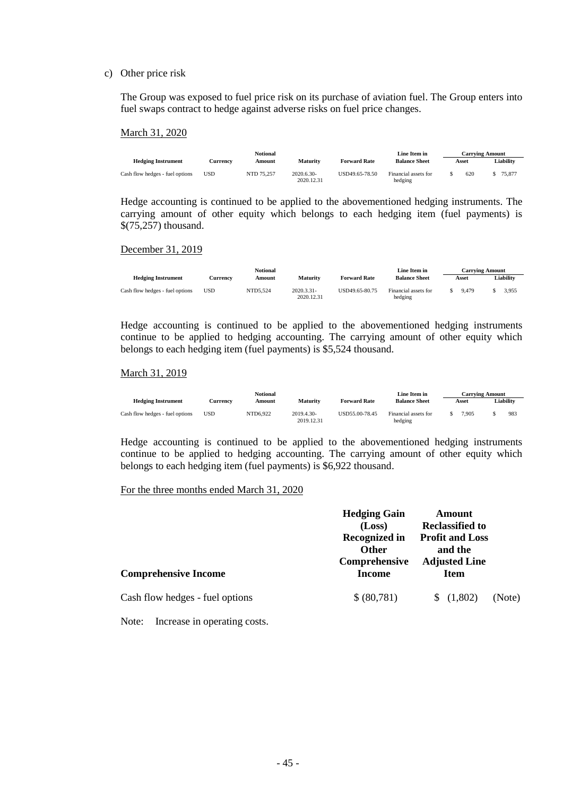### c) Other price risk

 The Group was exposed to fuel price risk on its purchase of aviation fuel. The Group enters into fuel swaps contract to hedge against adverse risks on fuel price changes.

#### March 31, 2020

|                                 |            | Notional   |                          |                     | Line Item in                    | <b>Carrving Amount</b> |       |           |  |
|---------------------------------|------------|------------|--------------------------|---------------------|---------------------------------|------------------------|-------|-----------|--|
| <b>Hedging Instrument</b>       | Currencv   |            | Maturitv                 | <b>Forward Rate</b> | <b>Balance Sheet</b>            |                        | Asset | Liabilitv |  |
| Cash flow hedges - fuel options | <b>USD</b> | NTD 75.257 | 2020.6.30-<br>2020.12.31 | USD49.65-78.50      | Financial assets for<br>hedging |                        | 620   | 75.877    |  |

 carrying amount of other equity which belongs to each hedging item (fuel payments) is \$(75,257) thousand. Hedge accounting is continued to be applied to the abovementioned hedging instruments. The

#### December 31, 2019

|                                 |          | Notional |                          |                     | Line Item in                    | <b>Carrving Amount</b> |       |  |           |
|---------------------------------|----------|----------|--------------------------|---------------------|---------------------------------|------------------------|-------|--|-----------|
| <b>Hedging Instrument</b>       | Currencv | Amount   | Maturitv                 | <b>Forward Rate</b> | <b>Balance Sheet</b>            |                        | Asset |  | Liability |
| Cash flow hedges - fuel options | USD      | NTD5.524 | 2020.3.31-<br>2020.12.31 | USD49.65-80.75      | Financial assets for<br>hedging |                        | 9.479 |  | 3.955     |

 Hedge accounting is continued to be applied to the abovementioned hedging instruments continue to be applied to hedging accounting. The carrying amount of other equity which belongs to each hedging item (fuel payments) is \$5,524 thousand.

## March 31, 2019

|                                 |                 | Notional |                          |                     | Line Item in                    | Carrving Amount |           |  |
|---------------------------------|-----------------|----------|--------------------------|---------------------|---------------------------------|-----------------|-----------|--|
| <b>Hedging Instrument</b>       | <b>Currencv</b> | Amount   | <b>Maturity</b>          | <b>Forward Rate</b> | <b>Balance Sheet</b>            | Asset           | Liability |  |
| Cash flow hedges - fuel options | USD             | NTD6.922 | 2019.4.30-<br>2019.12.31 | USD55.00-78.45      | Financial assets for<br>hedging | 7.905           | 983       |  |

 Hedge accounting is continued to be applied to the abovementioned hedging instruments continue to be applied to hedging accounting. The carrying amount of other equity which belongs to each hedging item (fuel payments) is \$6,922 thousand.

#### For the three months ended March 31, 2020

|                                 | <b>Hedging Gain</b><br>(Loss)                         | Amount<br><b>Reclassified to</b>                                         |        |
|---------------------------------|-------------------------------------------------------|--------------------------------------------------------------------------|--------|
|                                 | <b>Recognized in</b><br><b>Other</b><br>Comprehensive | <b>Profit and Loss</b><br>and the<br><b>Adjusted Line</b><br><b>Item</b> |        |
| <b>Comprehensive Income</b>     | Income                                                |                                                                          |        |
| Cash flow hedges - fuel options | \$ (80,781)                                           | (1,802)                                                                  | (Note) |

Note: Increase in operating costs.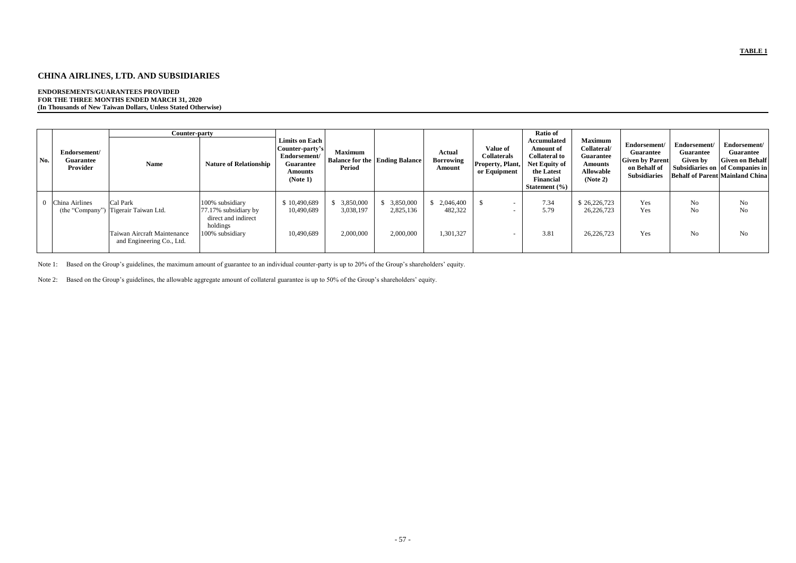## **TABLE 1**

### **FOR THE THREE MONTHS ENDED MARCH 31, 2020 (In Thousands of New Taiwan Dollars, Unless Stated Otherwise) ENDORSEMENTS/GUARANTEES PROVIDED**

## **CHINA AIRLINES, LTD. AND SUBSIDIARIES**

|     |                                                     | <b>Counter-party</b>                                                                                         |                                                                                               |                                                                                                     |                                     |                                       |                                             |                                                                                  | Ratio of                                                                                                                               |                                                                                              |                                                                                                   |                                                     |                                                                                                                                  |
|-----|-----------------------------------------------------|--------------------------------------------------------------------------------------------------------------|-----------------------------------------------------------------------------------------------|-----------------------------------------------------------------------------------------------------|-------------------------------------|---------------------------------------|---------------------------------------------|----------------------------------------------------------------------------------|----------------------------------------------------------------------------------------------------------------------------------------|----------------------------------------------------------------------------------------------|---------------------------------------------------------------------------------------------------|-----------------------------------------------------|----------------------------------------------------------------------------------------------------------------------------------|
| No. | Endorsement/<br><b>Guarantee</b><br><b>Provider</b> | <b>Name</b>                                                                                                  | <b>Nature of Relationship</b>                                                                 | <b>Limits on Each</b><br>Counter-party's<br>Endorsement/<br>Guarantee<br><b>Amounts</b><br>(Note 1) | <b>Maximum</b><br>Period            | <b>Balance for the Ending Balance</b> | <b>Actual</b><br><b>Borrowing</b><br>Amount | <b>Value of</b><br><b>Collaterals</b><br><b>Property, Plant,</b><br>or Equipment | <b>Accumulated</b><br><b>Amount of</b><br><b>Collateral to</b><br><b>Net Equity of</b><br>the Latest<br>Financial<br>Statement $(\% )$ | <b>Maximum</b><br>Collateral/<br>Guarantee<br><b>Amounts</b><br><b>Allowable</b><br>(Note 2) | Endorsement/<br><b>Guarantee</b><br><b>Given by Parent</b><br>on Behalf of<br><b>Subsidiaries</b> | Endorsement/<br><b>Guarantee</b><br><b>Given by</b> | Endorsement/<br>Guarantee<br><b>Given on Behalf</b><br>Subsidiaries on of Companies in<br><b>Behalf of Parent Mainland China</b> |
|     | China Airlines                                      | Cal Park<br>(the "Company") Tigerair Taiwan Ltd.<br>Taiwan Aircraft Maintenance<br>and Engineering Co., Ltd. | 100% subsidiary<br>77.17% subsidiary by<br>direct and indirect<br>holdings<br>100% subsidiary | \$10,490,689<br>10,490,689<br>10,490,689                                                            | 3,850,000<br>3,038,197<br>2,000,000 | 3,850,000<br>2,825,136<br>2,000,000   | \$2,046,400<br>482,322<br>1,301,327         |                                                                                  | 7.34<br>5.79<br>3.81                                                                                                                   | \$26,226,723<br>26,226,723<br>26,226,723                                                     | Yes<br>Yes<br>Yes                                                                                 | No<br>No<br>No                                      | No<br>No<br>No                                                                                                                   |

Note 1: Based on the Group's guidelines, the maximum amount of guarantee to an individual counter-party is up to 20% of the Group's shareholders' equity.

Note 2: Based on the Group's guidelines, the allowable aggregate amount of collateral guarantee is up to 50% of the Group's shareholders' equity.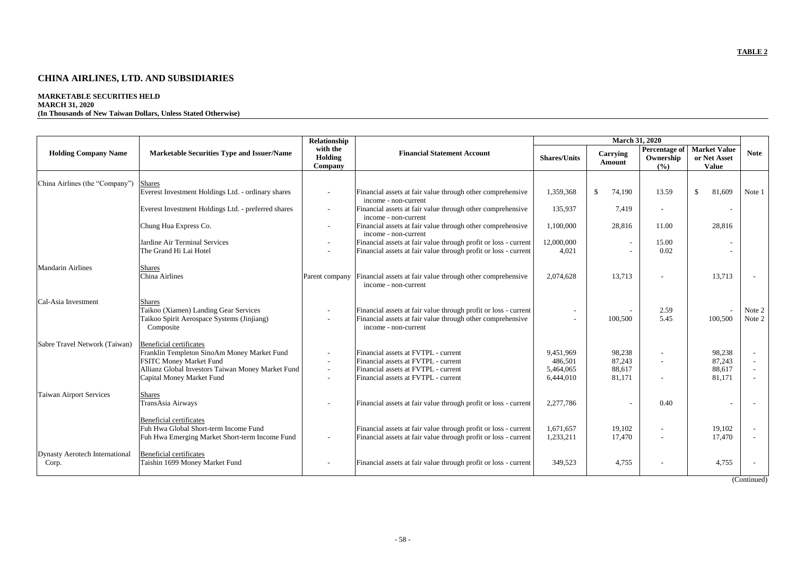## **TABLE 2**

# **CHINA AIRLINES, LTD. AND SUBSIDIARIES**

## **MARKETABLE SECURITIES HELD**

## **MARCH 31, 2020**

**(In Thousands of New Taiwan Dollars, Unless Stated Otherwise)** 

|                                |                                                        | Relationship                          |                                                                                    |                                                         | March 31, 2020           |                                             |                                                     |             |
|--------------------------------|--------------------------------------------------------|---------------------------------------|------------------------------------------------------------------------------------|---------------------------------------------------------|--------------------------|---------------------------------------------|-----------------------------------------------------|-------------|
| <b>Holding Company Name</b>    | <b>Marketable Securities Type and Issuer/Name</b>      | with the<br>Holding<br><b>Company</b> | <b>Financial Statement Account</b>                                                 | <b>Carrying</b><br><b>Shares/Units</b><br><b>Amount</b> |                          | <b>Percentage of</b><br>Ownership<br>$($ %) | <b>Market Value</b><br>or Net Asset<br><b>Value</b> | <b>Note</b> |
|                                |                                                        |                                       |                                                                                    |                                                         |                          |                                             |                                                     |             |
| China Airlines (the "Company") | <b>Shares</b>                                          |                                       |                                                                                    |                                                         |                          |                                             |                                                     |             |
|                                | Everest Investment Holdings Ltd. - ordinary shares     |                                       | Financial assets at fair value through other comprehensive<br>income - non-current | 1,359,368                                               | 74,190<br>$\mathcal{S}$  | 13.59                                       | 81,609<br>-\$                                       | Note 1      |
|                                | Everest Investment Holdings Ltd. - preferred shares    |                                       | Financial assets at fair value through other comprehensive<br>income - non-current | 135,937                                                 | 7,419                    |                                             |                                                     |             |
|                                | Chung Hua Express Co.                                  |                                       | Financial assets at fair value through other comprehensive<br>income - non-current | 1,100,000                                               | 28,816                   | 11.00                                       | 28,816                                              |             |
|                                | Jardine Air Terminal Services                          |                                       | Financial assets at fair value through profit or loss - current                    | 12,000,000                                              | $\overline{\phantom{a}}$ | 15.00                                       |                                                     |             |
|                                | The Grand Hi Lai Hotel                                 |                                       | Financial assets at fair value through profit or loss - current                    | 4,021                                                   |                          | 0.02                                        |                                                     |             |
| <b>Mandarin Airlines</b>       | <b>Shares</b>                                          |                                       |                                                                                    |                                                         |                          |                                             |                                                     |             |
|                                | China Airlines                                         | Parent company                        | Financial assets at fair value through other comprehensive<br>income - non-current | 2,074,628                                               | 13,713                   |                                             | 13,713                                              |             |
|                                |                                                        |                                       |                                                                                    |                                                         |                          |                                             |                                                     |             |
| Cal-Asia Investment            | <b>Shares</b><br>Taikoo (Xiamen) Landing Gear Services |                                       | Financial assets at fair value through profit or loss - current                    |                                                         |                          | 2.59                                        |                                                     | Note 2      |
|                                | Taikoo Spirit Aerospace Systems (Jinjiang)             |                                       | Financial assets at fair value through other comprehensive                         |                                                         | 100,500                  | 5.45                                        | 100,500                                             | Note 2      |
|                                | Composite                                              |                                       | income - non-current                                                               |                                                         |                          |                                             |                                                     |             |
| Sabre Travel Network (Taiwan)  | Beneficial certificates                                |                                       |                                                                                    |                                                         |                          |                                             |                                                     |             |
|                                | Franklin Templeton SinoAm Money Market Fund            |                                       | Financial assets at FVTPL - current                                                | 9,451,969                                               | 98,238                   |                                             | 98,238                                              |             |
|                                | <b>FSITC Money Market Fund</b>                         |                                       | Financial assets at FVTPL - current                                                | 486,501                                                 | 87,243                   |                                             | 87,243                                              |             |
|                                | Allianz Global Investors Taiwan Money Market Fund      |                                       | Financial assets at FVTPL - current                                                | 5,464,065                                               | 88,617                   |                                             | 88,617                                              |             |
|                                | Capital Money Market Fund                              |                                       | Financial assets at FVTPL - current                                                | 6,444,010                                               | 81,171                   |                                             | 81,171                                              |             |
| Taiwan Airport Services        | <b>Shares</b>                                          |                                       |                                                                                    |                                                         |                          |                                             |                                                     |             |
|                                | TransAsia Airways                                      |                                       | Financial assets at fair value through profit or loss - current                    | 2,277,786                                               |                          | 0.40                                        |                                                     |             |
|                                | <b>Beneficial certificates</b>                         |                                       |                                                                                    |                                                         |                          |                                             |                                                     |             |
|                                | Fuh Hwa Global Short-term Income Fund                  |                                       | Financial assets at fair value through profit or loss - current                    | 1,671,657                                               | 19,102                   |                                             | 19,102                                              |             |
|                                | Fuh Hwa Emerging Market Short-term Income Fund         |                                       | Financial assets at fair value through profit or loss - current                    | 1,233,211                                               | 17,470                   |                                             | 17,470                                              |             |
| Dynasty Aerotech International | <b>Beneficial certificates</b>                         |                                       |                                                                                    |                                                         |                          |                                             |                                                     |             |
| Corp.                          | Taishin 1699 Money Market Fund                         |                                       | Financial assets at fair value through profit or loss - current                    | 349,523                                                 | 4,755                    |                                             | 4,755                                               |             |
|                                |                                                        |                                       |                                                                                    |                                                         |                          |                                             |                                                     | (Continued) |